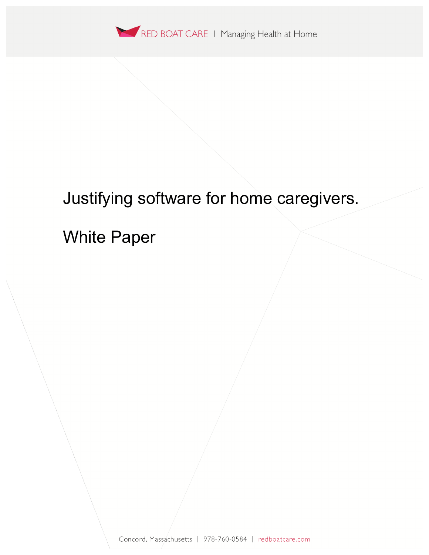

# Justifying software for home caregivers.

White Paper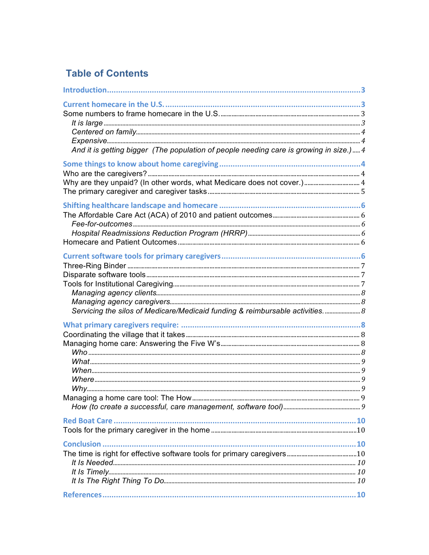## **Table of Contents**

| And it is getting bigger (The population of people needing care is growing in size.)  4 |  |
|-----------------------------------------------------------------------------------------|--|
|                                                                                         |  |
|                                                                                         |  |
| Why are they unpaid? (In other words, what Medicare does not cover.) 4                  |  |
|                                                                                         |  |
|                                                                                         |  |
|                                                                                         |  |
|                                                                                         |  |
|                                                                                         |  |
|                                                                                         |  |
|                                                                                         |  |
|                                                                                         |  |
|                                                                                         |  |
|                                                                                         |  |
|                                                                                         |  |
|                                                                                         |  |
| Servicing the silos of Medicare/Medicaid funding & reimbursable activities 8            |  |
|                                                                                         |  |
|                                                                                         |  |
|                                                                                         |  |
|                                                                                         |  |
|                                                                                         |  |
|                                                                                         |  |
|                                                                                         |  |
|                                                                                         |  |
| Managing a home care tool: The How                                                      |  |
|                                                                                         |  |
|                                                                                         |  |
|                                                                                         |  |
|                                                                                         |  |
|                                                                                         |  |
|                                                                                         |  |
|                                                                                         |  |
|                                                                                         |  |
|                                                                                         |  |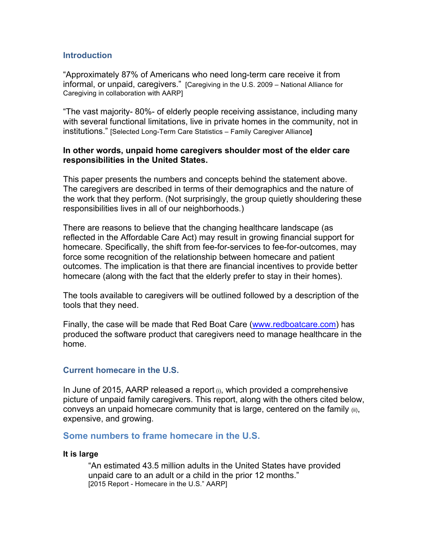#### **Introduction**

"Approximately 87% of Americans who need long-term care receive it from informal, or unpaid, caregivers." [Caregiving in the U.S. 2009 – National Alliance for Caregiving in collaboration with AARP]

"The vast majority- 80%- of elderly people receiving assistance, including many with several functional limitations, live in private homes in the community, not in institutions." [Selected Long-Term Care Statistics – Family Caregiver Alliance**]**

#### **In other words, unpaid home caregivers shoulder most of the elder care responsibilities in the United States.**

This paper presents the numbers and concepts behind the statement above. The caregivers are described in terms of their demographics and the nature of the work that they perform. (Not surprisingly, the group quietly shouldering these responsibilities lives in all of our neighborhoods.)

There are reasons to believe that the changing healthcare landscape (as reflected in the Affordable Care Act) may result in growing financial support for homecare. Specifically, the shift from fee-for-services to fee-for-outcomes, may force some recognition of the relationship between homecare and patient outcomes. The implication is that there are financial incentives to provide better homecare (along with the fact that the elderly prefer to stay in their homes).

The tools available to caregivers will be outlined followed by a description of the tools that they need.

Finally, the case will be made that Red Boat Care (www.redboatcare.com) has produced the software product that caregivers need to manage healthcare in the home.

#### **Current homecare in the U.S.**

In June of 2015, AARP released a report (i), which provided a comprehensive picture of unpaid family caregivers. This report, along with the others cited below, conveys an unpaid homecare community that is large, centered on the family (ii), expensive, and growing.

#### **Some numbers to frame homecare in the U.S.**

#### **It is large**

"An estimated 43.5 million adults in the United States have provided unpaid care to an adult or a child in the prior 12 months." [2015 Report - Homecare in the U.S." AARP]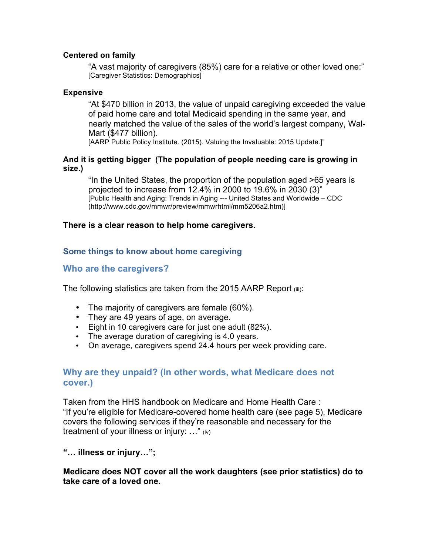#### **Centered on family**

"A vast majority of caregivers (85%) care for a relative or other loved one:" [Caregiver Statistics: Demographics]

#### **Expensive**

"At \$470 billion in 2013, the value of unpaid caregiving exceeded the value of paid home care and total Medicaid spending in the same year, and nearly matched the value of the sales of the world's largest company, Wal-Mart (\$477 billion).

[AARP Public Policy Institute. (2015). Valuing the Invaluable: 2015 Update.]"

#### **And it is getting bigger (The population of people needing care is growing in size.)**

"In the United States, the proportion of the population aged >65 years is projected to increase from 12.4% in 2000 to 19.6% in 2030 (3)" [Public Health and Aging: Trends in Aging --- United States and Worldwide – CDC (http://www.cdc.gov/mmwr/preview/mmwrhtml/mm5206a2.htm)]

## **There is a clear reason to help home caregivers.**

## **Some things to know about home caregiving**

## **Who are the caregivers?**

The following statistics are taken from the 2015 AARP Report (iii):

- The majority of caregivers are female (60%).
- They are 49 years of age, on average.
- Eight in 10 caregivers care for just one adult (82%).
- The average duration of caregiving is 4.0 years.
- On average, caregivers spend 24.4 hours per week providing care.

## **Why are they unpaid? (In other words, what Medicare does not cover.)**

Taken from the HHS handbook on Medicare and Home Health Care : "If you're eligible for Medicare-covered home health care (see page 5), Medicare covers the following services if they're reasonable and necessary for the treatment of your illness or injury: …" (iv)

**"… illness or injury…";** 

## **Medicare does NOT cover all the work daughters (see prior statistics) do to take care of a loved one.**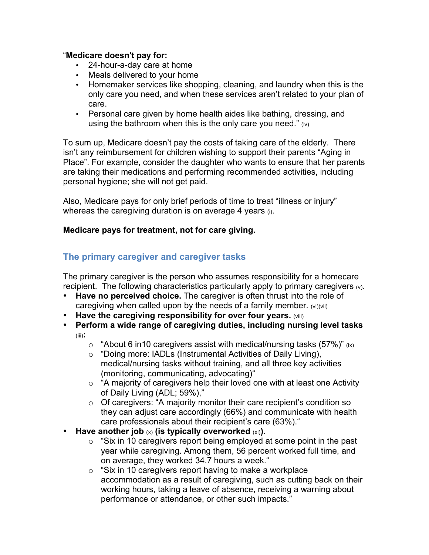## "**Medicare doesn't pay for:**

- 24-hour-a-day care at home
- Meals delivered to your home
- Homemaker services like shopping, cleaning, and laundry when this is the only care you need, and when these services aren't related to your plan of care.
- Personal care given by home health aides like bathing, dressing, and using the bathroom when this is the only care you need."  $(iv)$

To sum up, Medicare doesn't pay the costs of taking care of the elderly. There isn't any reimbursement for children wishing to support their parents "Aging in Place". For example, consider the daughter who wants to ensure that her parents are taking their medications and performing recommended activities, including personal hygiene; she will not get paid.

Also, Medicare pays for only brief periods of time to treat "illness or injury" whereas the caregiving duration is on average 4 years (i).

## **Medicare pays for treatment, not for care giving.**

## **The primary caregiver and caregiver tasks**

The primary caregiver is the person who assumes responsibility for a homecare recipient. The following characteristics particularly apply to primary caregivers (v).

- **Have no perceived choice.** The caregiver is often thrust into the role of caregiving when called upon by the needs of a family member. (vi)(vii)
- **Have the caregiving responsibility for over four years.** (viii)
- **Perform a wide range of caregiving duties, including nursing level tasks** (iii)**:**
	- $\circ$  "About 6 in 10 caregivers assist with medical/nursing tasks (57%)" (ix)
	- o "Doing more: IADLs (Instrumental Activities of Daily Living), medical/nursing tasks without training, and all three key activities (monitoring, communicating, advocating)"
	- $\circ$  "A majority of caregivers help their loved one with at least one Activity of Daily Living (ADL; 59%),"
	- o Of caregivers: "A majority monitor their care recipient's condition so they can adjust care accordingly (66%) and communicate with health care professionals about their recipient's care (63%)."
- Have another job  $(x)$  (is typically overworked  $(xi)$ ).
	- $\circ$  "Six in 10 caregivers report being employed at some point in the past year while caregiving. Among them, 56 percent worked full time, and on average, they worked 34.7 hours a week."
	- $\circ$  "Six in 10 caregivers report having to make a workplace accommodation as a result of caregiving, such as cutting back on their working hours, taking a leave of absence, receiving a warning about performance or attendance, or other such impacts."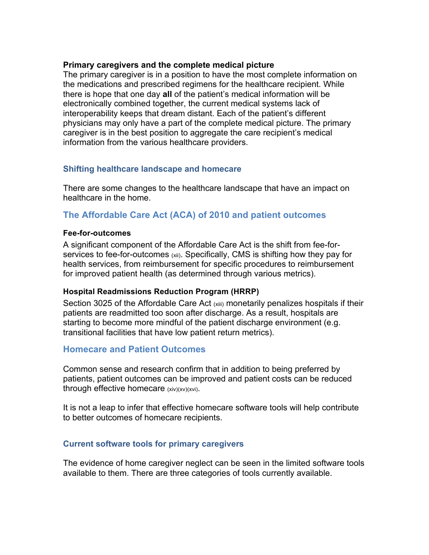#### **Primary caregivers and the complete medical picture**

The primary caregiver is in a position to have the most complete information on the medications and prescribed regimens for the healthcare recipient. While there is hope that one day **all** of the patient's medical information will be electronically combined together, the current medical systems lack of interoperability keeps that dream distant. Each of the patient's different physicians may only have a part of the complete medical picture. The primary caregiver is in the best position to aggregate the care recipient's medical information from the various healthcare providers.

## **Shifting healthcare landscape and homecare**

There are some changes to the healthcare landscape that have an impact on healthcare in the home.

## **The Affordable Care Act (ACA) of 2010 and patient outcomes**

#### **Fee-for-outcomes**

A significant component of the Affordable Care Act is the shift from fee-forservices to fee-for-outcomes (xii). Specifically, CMS is shifting how they pay for health services, from reimbursement for specific procedures to reimbursement for improved patient health (as determined through various metrics).

## **Hospital Readmissions Reduction Program (HRRP)**

Section 3025 of the Affordable Care Act (xiii) monetarily penalizes hospitals if their patients are readmitted too soon after discharge. As a result, hospitals are starting to become more mindful of the patient discharge environment (e.g. transitional facilities that have low patient return metrics).

## **Homecare and Patient Outcomes**

Common sense and research confirm that in addition to being preferred by patients, patient outcomes can be improved and patient costs can be reduced through effective homecare (xiv)(xv)(xvi).

It is not a leap to infer that effective homecare software tools will help contribute to better outcomes of homecare recipients.

## **Current software tools for primary caregivers**

The evidence of home caregiver neglect can be seen in the limited software tools available to them. There are three categories of tools currently available.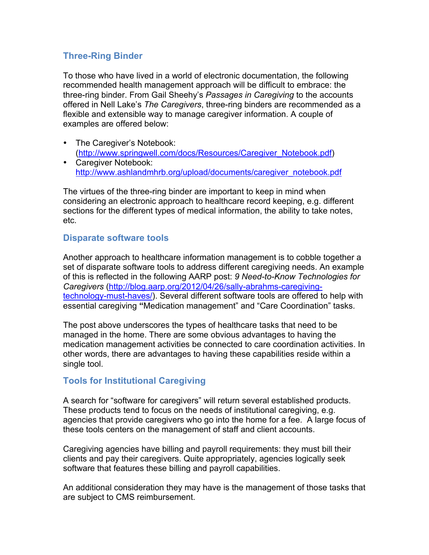## **Three-Ring Binder**

To those who have lived in a world of electronic documentation, the following recommended health management approach will be difficult to embrace: the three-ring binder. From Gail Sheehy's *Passages in Caregiving* to the accounts offered in Nell Lake's *The Caregivers*, three-ring binders are recommended as a flexible and extensible way to manage caregiver information. A couple of examples are offered below:

- The Caregiver's Notebook: (http://www.springwell.com/docs/Resources/Caregiver\_Notebook.pdf)
- Caregiver Notebook: http://www.ashlandmhrb.org/upload/documents/caregiver\_notebook.pdf

The virtues of the three-ring binder are important to keep in mind when considering an electronic approach to healthcare record keeping, e.g. different sections for the different types of medical information, the ability to take notes, etc.

## **Disparate software tools**

Another approach to healthcare information management is to cobble together a set of disparate software tools to address different caregiving needs. An example of this is reflected in the following AARP post: *9 Need-to-Know Technologies for Caregivers* (http://blog.aarp.org/2012/04/26/sally-abrahms-caregivingtechnology-must-haves/). Several different software tools are offered to help with essential caregiving **"**Medication management" and "Care Coordination" tasks.

The post above underscores the types of healthcare tasks that need to be managed in the home. There are some obvious advantages to having the medication management activities be connected to care coordination activities. In other words, there are advantages to having these capabilities reside within a single tool.

## **Tools for Institutional Caregiving**

A search for "software for caregivers" will return several established products. These products tend to focus on the needs of institutional caregiving, e.g. agencies that provide caregivers who go into the home for a fee. A large focus of these tools centers on the management of staff and client accounts.

Caregiving agencies have billing and payroll requirements: they must bill their clients and pay their caregivers. Quite appropriately, agencies logically seek software that features these billing and payroll capabilities.

An additional consideration they may have is the management of those tasks that are subject to CMS reimbursement.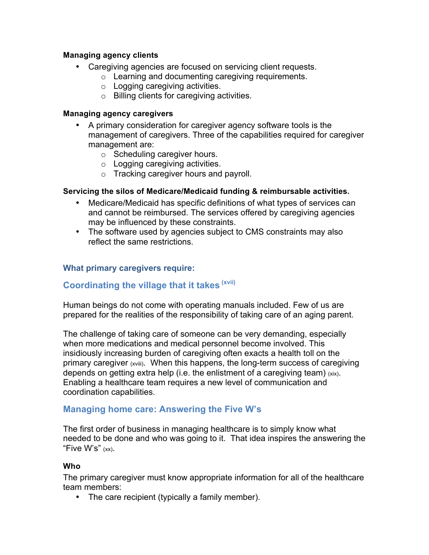## **Managing agency clients**

- Caregiving agencies are focused on servicing client requests.
	- o Learning and documenting caregiving requirements.
		- o Logging caregiving activities.
		- o Billing clients for caregiving activities.

## **Managing agency caregivers**

- A primary consideration for caregiver agency software tools is the management of caregivers. Three of the capabilities required for caregiver management are:
	- o Scheduling caregiver hours.
	- o Logging caregiving activities.
	- o Tracking caregiver hours and payroll.

## **Servicing the silos of Medicare/Medicaid funding & reimbursable activities.**

- Medicare/Medicaid has specific definitions of what types of services can and cannot be reimbursed. The services offered by caregiving agencies may be influenced by these constraints.
- The software used by agencies subject to CMS constraints may also reflect the same restrictions.

## **What primary caregivers require:**

## **Coordinating the village that it takes (xvii)**

Human beings do not come with operating manuals included. Few of us are prepared for the realities of the responsibility of taking care of an aging parent.

The challenge of taking care of someone can be very demanding, especially when more medications and medical personnel become involved. This insidiously increasing burden of caregiving often exacts a health toll on the primary caregiver (xviii). When this happens, the long-term success of caregiving depends on getting extra help (i.e. the enlistment of a caregiving team)  $(x|x)$ . Enabling a healthcare team requires a new level of communication and coordination capabilities.

## **Managing home care: Answering the Five W's**

The first order of business in managing healthcare is to simply know what needed to be done and who was going to it. That idea inspires the answering the "Five W's" (xx).

## **Who**

The primary caregiver must know appropriate information for all of the healthcare team members:

• The care recipient (typically a family member).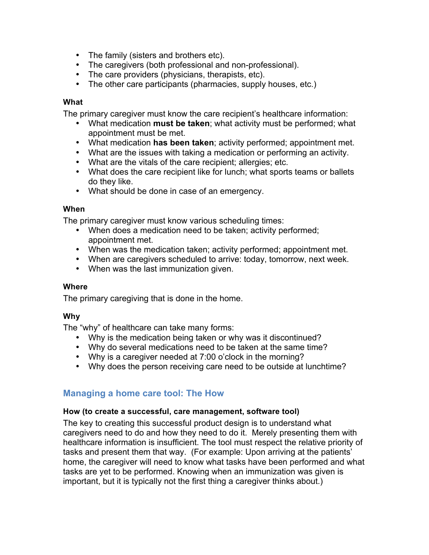- The family (sisters and brothers etc).
- The caregivers (both professional and non-professional).
- The care providers (physicians, therapists, etc).
- The other care participants (pharmacies, supply houses, etc.)

#### **What**

The primary caregiver must know the care recipient's healthcare information:

- What medication **must be taken**; what activity must be performed; what appointment must be met.
- What medication **has been taken**; activity performed; appointment met.
- What are the issues with taking a medication or performing an activity.
- What are the vitals of the care recipient; allergies; etc.
- What does the care recipient like for lunch; what sports teams or ballets do they like.
- What should be done in case of an emergency.

#### **When**

The primary caregiver must know various scheduling times:

- When does a medication need to be taken; activity performed; appointment met.
- When was the medication taken; activity performed; appointment met.
- When are caregivers scheduled to arrive: today, tomorrow, next week.
- When was the last immunization given.

## **Where**

The primary caregiving that is done in the home.

## **Why**

The "why" of healthcare can take many forms:

- Why is the medication being taken or why was it discontinued?
- Why do several medications need to be taken at the same time?
- Why is a caregiver needed at 7:00 o'clock in the morning?
- Why does the person receiving care need to be outside at lunchtime?

## **Managing a home care tool: The How**

## **How (to create a successful, care management, software tool)**

The key to creating this successful product design is to understand what caregivers need to do and how they need to do it. Merely presenting them with healthcare information is insufficient. The tool must respect the relative priority of tasks and present them that way. (For example: Upon arriving at the patients' home, the caregiver will need to know what tasks have been performed and what tasks are yet to be performed. Knowing when an immunization was given is important, but it is typically not the first thing a caregiver thinks about.)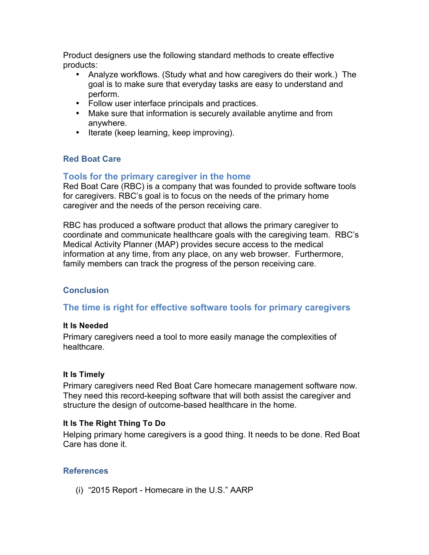Product designers use the following standard methods to create effective products:

- Analyze workflows. (Study what and how caregivers do their work.) The goal is to make sure that everyday tasks are easy to understand and perform.
- Follow user interface principals and practices.
- Make sure that information is securely available anytime and from anywhere.
- Iterate (keep learning, keep improving).

## **Red Boat Care**

## **Tools for the primary caregiver in the home**

Red Boat Care (RBC) is a company that was founded to provide software tools for caregivers. RBC's goal is to focus on the needs of the primary home caregiver and the needs of the person receiving care.

RBC has produced a software product that allows the primary caregiver to coordinate and communicate healthcare goals with the caregiving team. RBC's Medical Activity Planner (MAP) provides secure access to the medical information at any time, from any place, on any web browser. Furthermore, family members can track the progress of the person receiving care.

## **Conclusion**

## **The time is right for effective software tools for primary caregivers**

## **It Is Needed**

Primary caregivers need a tool to more easily manage the complexities of healthcare.

## **It Is Timely**

Primary caregivers need Red Boat Care homecare management software now. They need this record-keeping software that will both assist the caregiver and structure the design of outcome-based healthcare in the home.

## **It Is The Right Thing To Do**

Helping primary home caregivers is a good thing. It needs to be done. Red Boat Care has done it.

## **References**

(i) "2015 Report - Homecare in the U.S." AARP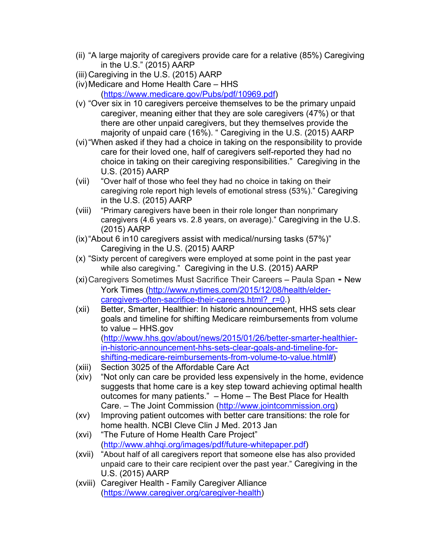- (ii) "A large majority of caregivers provide care for a relative (85%) Caregiving in the U.S." (2015) AARP
- (iii) Caregiving in the U.S. (2015) AARP
- (iv)Medicare and Home Health Care HHS (https://www.medicare.gov/Pubs/pdf/10969.pdf)
- (v) "Over six in 10 caregivers perceive themselves to be the primary unpaid caregiver, meaning either that they are sole caregivers (47%) or that there are other unpaid caregivers, but they themselves provide the majority of unpaid care (16%). " Caregiving in the U.S. (2015) AARP
- (vi)"When asked if they had a choice in taking on the responsibility to provide care for their loved one, half of caregivers self-reported they had no choice in taking on their caregiving responsibilities." Caregiving in the U.S. (2015) AARP
- (vii) "Over half of those who feel they had no choice in taking on their caregiving role report high levels of emotional stress (53%)." Caregiving in the U.S. (2015) AARP
- (viii) "Primary caregivers have been in their role longer than nonprimary caregivers (4.6 years vs. 2.8 years, on average)." Caregiving in the U.S. (2015) AARP
- (ix)"About 6 in10 caregivers assist with medical/nursing tasks (57%)" Caregiving in the U.S. (2015) AARP
- (x) "Sixty percent of caregivers were employed at some point in the past year while also caregiving." Caregiving in the U.S. (2015) AARP
- (xi)Caregivers Sometimes Must Sacrifice Their Careers Paula Span **-** New York Times (http://www.nytimes.com/2015/12/08/health/eldercaregivers-often-sacrifice-their-careers.html? r=0.)
- (xii) Better, Smarter, Healthier: In historic announcement, HHS sets clear goals and timeline for shifting Medicare reimbursements from volume to value – HHS.gov (http://www.hhs.gov/about/news/2015/01/26/better-smarter-healthierin-historic-announcement-hhs-sets-clear-goals-and-timeline-forshifting-medicare-reimbursements-from-volume-to-value.html#)
- (xiii) Section 3025 of the Affordable Care Act
- (xiv) "Not only can care be provided less expensively in the home, evidence suggests that home care is a key step toward achieving optimal health outcomes for many patients." – Home – The Best Place for Health Care. – The Joint Commission (http://www.jointcommission.org)
- (xv) Improving patient outcomes with better care transitions: the role for home health. NCBI Cleve Clin J Med. 2013 Jan
- (xvi) "The Future of Home Health Care Project" (http://www.ahhqi.org/images/pdf/future-whitepaper.pdf)
- (xvii) "About half of all caregivers report that someone else has also provided unpaid care to their care recipient over the past year." Caregiving in the U.S. (2015) AARP
- (xviii) Caregiver Health Family Caregiver Alliance (https://www.caregiver.org/caregiver-health)